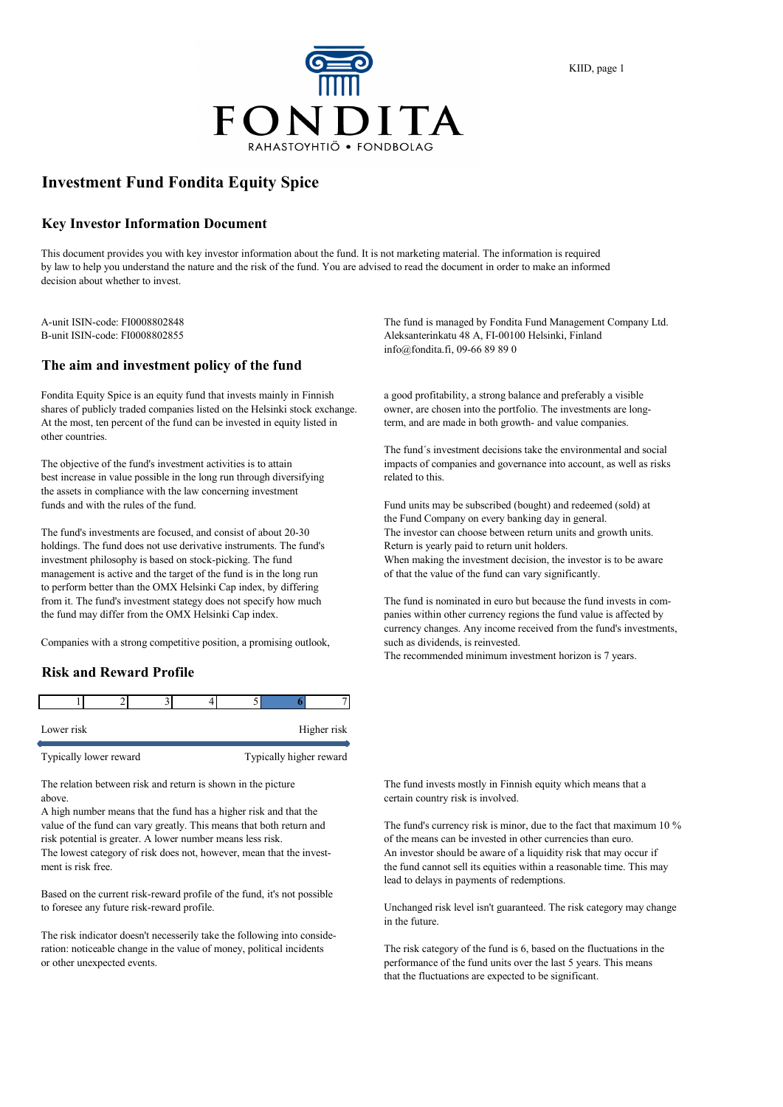

## **Investment Fund Fondita Equity Spice**

#### **Key Investor Information Document**

This document provides you with key investor information about the fund. It is not marketing material. The information is required by law to help you understand the nature and the risk of the fund. You are advised to read the document in order to make an informed decision about whether to invest.

### **The aim and investment policy of the fund**

Fondita Equity Spice is an equity fund that invests mainly in Finnish a good profitability, a strong balance and preferably a visible shares of publicly traded companies listed on the Helsinki stock exchange. owner, are chosen into the portfolio. The investments are long-<br>At the most, ten percent of the fund can be invested in equity listed in the mand a At the most, ten percent of the fund can be invested in equity listed in other countries.

best increase in value possible in the long run through diversifying related to this. the assets in compliance with the law concerning investment funds and with the rules of the fund. Fund units may be subscribed (bought) and redeemed (sold) at

holdings. The fund does not use derivative instruments. The fund's Return is yearly paid to return unit holders. investment philosophy is based on stock-picking. The fund When making the investment decision, the investor is to be aware management is active and the target of the fund is in the long run of that the value of the fund can vary significantly. to perform better than the OMX Helsinki Cap index, by differing from it. The fund's investment stategy does not specify how much The fund is nominated in euro but because the fund invests in comthe fund may differ from the OMX Helsinki Cap index. panies within other currency regions the fund value is affected by

Companies with a strong competitive position, a promising outlook, such as dividends, is reinvested.

### **Risk and Reward Profile**

| Lower risk             |  |  |                         | Higher risk |
|------------------------|--|--|-------------------------|-------------|
| Typically lower reward |  |  | Typically higher reward |             |

above. **certain country risk is involved.** The certain country risk is involved.

A high number means that the fund has a higher risk and that the value of the fund can vary greatly. This means that both return and The fund's currency risk is minor, due to the fact that maximum 10 % risk potential is greater. A lower number means less risk. of the means can be invested in other currencies than euro. The lowest category of risk does not, however, mean that the invest- An investor should be aware of a liquidity risk that may occur if

Based on the current risk-reward profile of the fund, it's not possible to foresee any future risk-reward profile. Unchanged risk level isn't guaranteed. The risk category may change

The risk indicator doesn't necesserily take the following into consideration: noticeable change in the value of money, political incidents The risk category of the fund is 6, based on the fluctuations in the or other unexpected events. performance of the fund units over the last 5 years. This means

A-unit ISIN-code: FI0008802848 The fund is managed by Fondita Fund Management Company Ltd. B-unit ISIN-code: FI0008802855 Aleksanterinkatu 48 A, FI-00100 Helsinki, Finland info@fondita.fi, 09-66 89 89 0

The fund´s investment decisions take the environmental and social The objective of the fund's investment activities is to attain impacts of companies and governance into account, as well as risks

the Fund Company on every banking day in general. The fund's investments are focused, and consist of about 20-30 The investor can choose between return units and growth units.

currency changes. Any income received from the fund's investments,

The recommended minimum investment horizon is 7 years.

The relation between risk and return is shown in the picture The fund invests mostly in Finnish equity which means that a

ment is risk free. the fund cannot sell its equities within a reasonable time. This may lead to delays in payments of redemptions.

in the future.

that the fluctuations are expected to be significant.